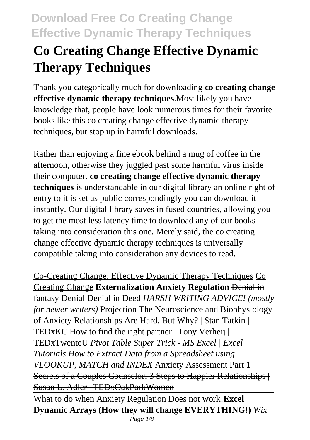# **Co Creating Change Effective Dynamic Therapy Techniques**

Thank you categorically much for downloading **co creating change effective dynamic therapy techniques**.Most likely you have knowledge that, people have look numerous times for their favorite books like this co creating change effective dynamic therapy techniques, but stop up in harmful downloads.

Rather than enjoying a fine ebook behind a mug of coffee in the afternoon, otherwise they juggled past some harmful virus inside their computer. **co creating change effective dynamic therapy techniques** is understandable in our digital library an online right of entry to it is set as public correspondingly you can download it instantly. Our digital library saves in fused countries, allowing you to get the most less latency time to download any of our books taking into consideration this one. Merely said, the co creating change effective dynamic therapy techniques is universally compatible taking into consideration any devices to read.

Co-Creating Change: Effective Dynamic Therapy Techniques Co Creating Change **Externalization Anxiety Regulation** Denial in fantasy Denial Denial in Deed *HARSH WRITING ADVICE! (mostly for newer writers)* Projection The Neuroscience and Biophysiology of Anxiety Relationships Are Hard, But Why? | Stan Tatkin | TEDxKC How to find the right partner | Tony Verheij | TEDxTwenteU *Pivot Table Super Trick - MS Excel | Excel Tutorials How to Extract Data from a Spreadsheet using VLOOKUP, MATCH and INDEX* Anxiety Assessment Part 1 Secrets of a Couples Counselor: 3 Steps to Happier Relationships | Susan L. Adler | TEDxOakParkWomen

What to do when Anxiety Regulation Does not work!**Excel Dynamic Arrays (How they will change EVERYTHING!)** *Wix* Page 1/8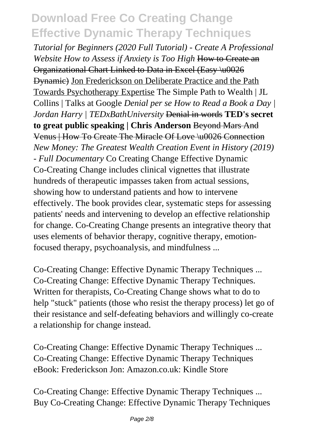*Tutorial for Beginners (2020 Full Tutorial) - Create A Professional Website How to Assess if Anxiety is Too High* How to Create an Organizational Chart Linked to Data in Excel (Easy \u0026 Dynamic) Jon Frederickson on Deliberate Practice and the Path Towards Psychotherapy Expertise The Simple Path to Wealth | JL Collins | Talks at Google *Denial per se How to Read a Book a Day | Jordan Harry | TEDxBathUniversity* Denial in words **TED's secret to great public speaking | Chris Anderson** Beyond Mars And Venus | How To Create The Miracle Of Love \u0026 Connection *New Money: The Greatest Wealth Creation Event in History (2019) - Full Documentary* Co Creating Change Effective Dynamic Co-Creating Change includes clinical vignettes that illustrate hundreds of therapeutic impasses taken from actual sessions, showing how to understand patients and how to intervene effectively. The book provides clear, systematic steps for assessing patients' needs and intervening to develop an effective relationship for change. Co-Creating Change presents an integrative theory that uses elements of behavior therapy, cognitive therapy, emotionfocused therapy, psychoanalysis, and mindfulness ...

Co-Creating Change: Effective Dynamic Therapy Techniques ... Co-Creating Change: Effective Dynamic Therapy Techniques. Written for therapists, Co-Creating Change shows what to do to help "stuck" patients (those who resist the therapy process) let go of their resistance and self-defeating behaviors and willingly co-create a relationship for change instead.

Co-Creating Change: Effective Dynamic Therapy Techniques ... Co-Creating Change: Effective Dynamic Therapy Techniques eBook: Frederickson Jon: Amazon.co.uk: Kindle Store

Co-Creating Change: Effective Dynamic Therapy Techniques ... Buy Co-Creating Change: Effective Dynamic Therapy Techniques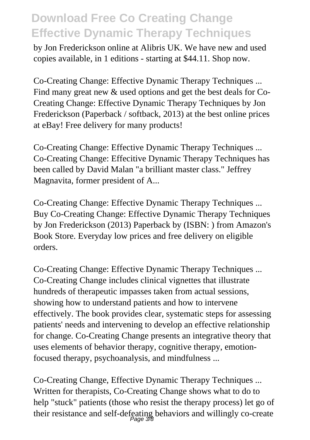by Jon Frederickson online at Alibris UK. We have new and used copies available, in 1 editions - starting at \$44.11. Shop now.

Co-Creating Change: Effective Dynamic Therapy Techniques ... Find many great new & used options and get the best deals for Co-Creating Change: Effective Dynamic Therapy Techniques by Jon Frederickson (Paperback / softback, 2013) at the best online prices at eBay! Free delivery for many products!

Co-Creating Change: Effective Dynamic Therapy Techniques ... Co-Creating Change: Effecitive Dynamic Therapy Techniques has been called by David Malan "a brilliant master class." Jeffrey Magnavita, former president of A...

Co-Creating Change: Effective Dynamic Therapy Techniques ... Buy Co-Creating Change: Effective Dynamic Therapy Techniques by Jon Frederickson (2013) Paperback by (ISBN: ) from Amazon's Book Store. Everyday low prices and free delivery on eligible orders.

Co-Creating Change: Effective Dynamic Therapy Techniques ... Co-Creating Change includes clinical vignettes that illustrate hundreds of therapeutic impasses taken from actual sessions, showing how to understand patients and how to intervene effectively. The book provides clear, systematic steps for assessing patients' needs and intervening to develop an effective relationship for change. Co-Creating Change presents an integrative theory that uses elements of behavior therapy, cognitive therapy, emotionfocused therapy, psychoanalysis, and mindfulness ...

Co-Creating Change, Effective Dynamic Therapy Techniques ... Written for therapists, Co-Creating Change shows what to do to help "stuck" patients (those who resist the therapy process) let go of their resistance and self-defeating behaviors and willingly co-create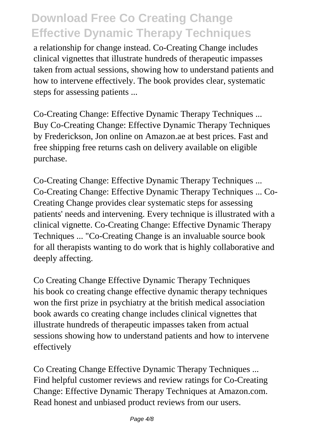a relationship for change instead. Co-Creating Change includes clinical vignettes that illustrate hundreds of therapeutic impasses taken from actual sessions, showing how to understand patients and how to intervene effectively. The book provides clear, systematic steps for assessing patients ...

Co-Creating Change: Effective Dynamic Therapy Techniques ... Buy Co-Creating Change: Effective Dynamic Therapy Techniques by Frederickson, Jon online on Amazon.ae at best prices. Fast and free shipping free returns cash on delivery available on eligible purchase.

Co-Creating Change: Effective Dynamic Therapy Techniques ... Co-Creating Change: Effective Dynamic Therapy Techniques ... Co-Creating Change provides clear systematic steps for assessing patients' needs and intervening. Every technique is illustrated with a clinical vignette. Co-Creating Change: Effective Dynamic Therapy Techniques ... "Co-Creating Change is an invaluable source book for all therapists wanting to do work that is highly collaborative and deeply affecting.

Co Creating Change Effective Dynamic Therapy Techniques his book co creating change effective dynamic therapy techniques won the first prize in psychiatry at the british medical association book awards co creating change includes clinical vignettes that illustrate hundreds of therapeutic impasses taken from actual sessions showing how to understand patients and how to intervene effectively

Co Creating Change Effective Dynamic Therapy Techniques ... Find helpful customer reviews and review ratings for Co-Creating Change: Effective Dynamic Therapy Techniques at Amazon.com. Read honest and unbiased product reviews from our users.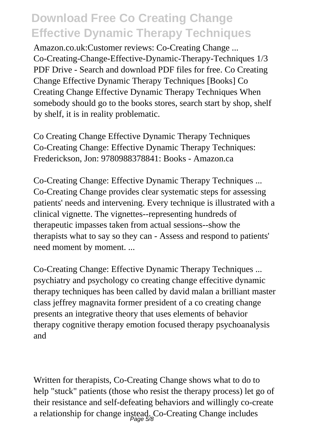Amazon.co.uk:Customer reviews: Co-Creating Change ... Co-Creating-Change-Effective-Dynamic-Therapy-Techniques 1/3 PDF Drive - Search and download PDF files for free. Co Creating Change Effective Dynamic Therapy Techniques [Books] Co Creating Change Effective Dynamic Therapy Techniques When somebody should go to the books stores, search start by shop, shelf by shelf, it is in reality problematic.

Co Creating Change Effective Dynamic Therapy Techniques Co-Creating Change: Effective Dynamic Therapy Techniques: Frederickson, Jon: 9780988378841: Books - Amazon.ca

Co-Creating Change: Effective Dynamic Therapy Techniques ... Co-Creating Change provides clear systematic steps for assessing patients' needs and intervening. Every technique is illustrated with a clinical vignette. The vignettes--representing hundreds of therapeutic impasses taken from actual sessions--show the therapists what to say so they can - Assess and respond to patients' need moment by moment....

Co-Creating Change: Effective Dynamic Therapy Techniques ... psychiatry and psychology co creating change effecitive dynamic therapy techniques has been called by david malan a brilliant master class jeffrey magnavita former president of a co creating change presents an integrative theory that uses elements of behavior therapy cognitive therapy emotion focused therapy psychoanalysis and

Written for therapists, Co-Creating Change shows what to do to help "stuck" patients (those who resist the therapy process) let go of their resistance and self-defeating behaviors and willingly co-create a relationship for change instead. Co-Creating Change includes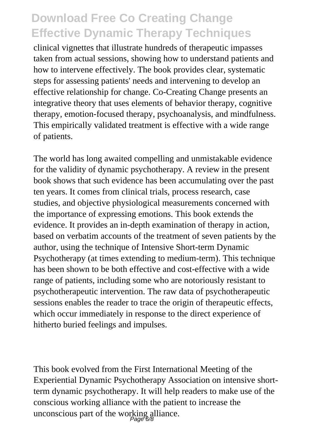clinical vignettes that illustrate hundreds of therapeutic impasses taken from actual sessions, showing how to understand patients and how to intervene effectively. The book provides clear, systematic steps for assessing patients' needs and intervening to develop an effective relationship for change. Co-Creating Change presents an integrative theory that uses elements of behavior therapy, cognitive therapy, emotion-focused therapy, psychoanalysis, and mindfulness. This empirically validated treatment is effective with a wide range of patients.

The world has long awaited compelling and unmistakable evidence for the validity of dynamic psychotherapy. A review in the present book shows that such evidence has been accumulating over the past ten years. It comes from clinical trials, process research, case studies, and objective physiological measurements concerned with the importance of expressing emotions. This book extends the evidence. It provides an in-depth examination of therapy in action, based on verbatim accounts of the treatment of seven patients by the author, using the technique of Intensive Short-term Dynamic Psychotherapy (at times extending to medium-term). This technique has been shown to be both effective and cost-effective with a wide range of patients, including some who are notoriously resistant to psychotherapeutic intervention. The raw data of psychotherapeutic sessions enables the reader to trace the origin of therapeutic effects, which occur immediately in response to the direct experience of hitherto buried feelings and impulses.

This book evolved from the First International Meeting of the Experiential Dynamic Psychotherapy Association on intensive shortterm dynamic psychotherapy. It will help readers to make use of the conscious working alliance with the patient to increase the unconscious part of the working alliance.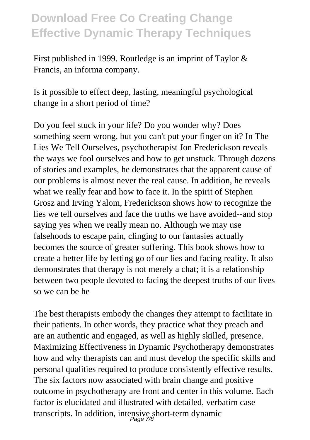First published in 1999. Routledge is an imprint of Taylor & Francis, an informa company.

Is it possible to effect deep, lasting, meaningful psychological change in a short period of time?

Do you feel stuck in your life? Do you wonder why? Does something seem wrong, but you can't put your finger on it? In The Lies We Tell Ourselves, psychotherapist Jon Frederickson reveals the ways we fool ourselves and how to get unstuck. Through dozens of stories and examples, he demonstrates that the apparent cause of our problems is almost never the real cause. In addition, he reveals what we really fear and how to face it. In the spirit of Stephen Grosz and Irving Yalom, Frederickson shows how to recognize the lies we tell ourselves and face the truths we have avoided--and stop saying yes when we really mean no. Although we may use falsehoods to escape pain, clinging to our fantasies actually becomes the source of greater suffering. This book shows how to create a better life by letting go of our lies and facing reality. It also demonstrates that therapy is not merely a chat; it is a relationship between two people devoted to facing the deepest truths of our lives so we can be he

The best therapists embody the changes they attempt to facilitate in their patients. In other words, they practice what they preach and are an authentic and engaged, as well as highly skilled, presence. Maximizing Effectiveness in Dynamic Psychotherapy demonstrates how and why therapists can and must develop the specific skills and personal qualities required to produce consistently effective results. The six factors now associated with brain change and positive outcome in psychotherapy are front and center in this volume. Each factor is elucidated and illustrated with detailed, verbatim case transcripts. In addition, intensive short-term dynamic Page 7/8